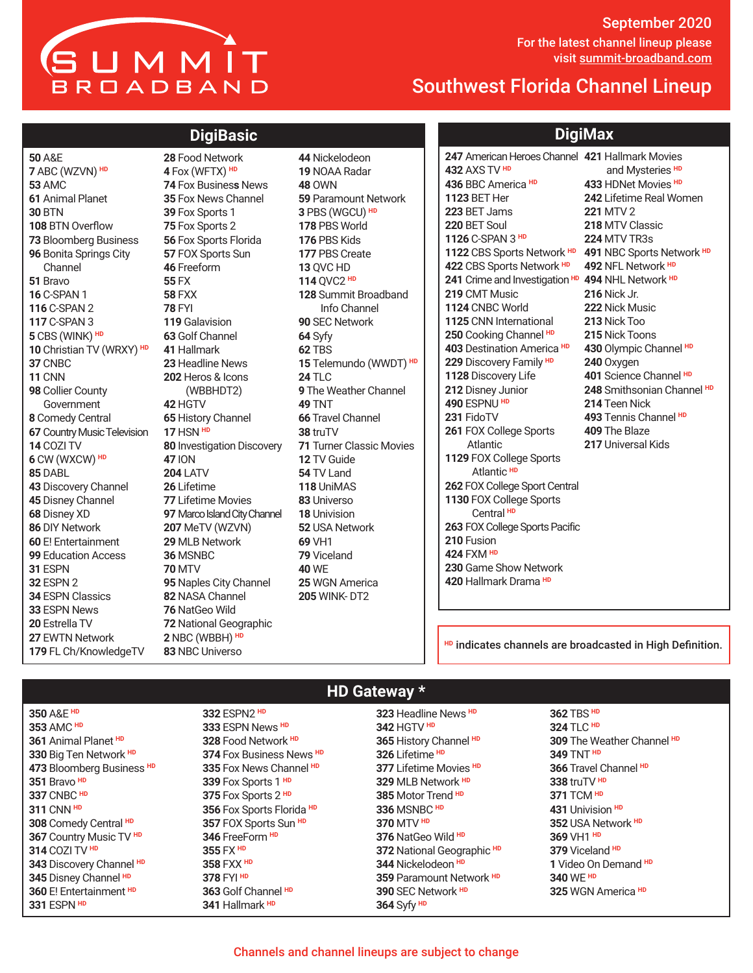# SUMMIT BROADBAND

September 2020 For the latest channel lineup please For the latest channel lineup please visit <u>summit-broadband.com</u>

# Southwest Florida Channel Lineup

### **DigiBasic**

A&E ABC (WZVN) **HD** AMC Animal Planet BTN BTN Overflow Bloomberg Business Bonita Springs City Channel Bravo C-SPAN 1 C-SPAN 2 C-SPAN 3 CBS (WINK) **HD** Christian TV (WRXY) **HD** CNBC CNN Collier County Government Comedy Central Country Music Television COZI TV CW (WXCW) **HD** DABL Discovery Channel Disney Channel Disney XD DIY Network E! Entertainment Education Access ESPN ESPN 2 ESPN Classics ESPN News Estrella TV EWTN Network FL Ch/KnowledgeTV

 Food Network Fox (WFTX) **HD** Fox Busines**s** News Fox News Channel Fox Sports 1 Fox Sports 2 Fox Sports Florida FOX Sports Sun Freeform FX FXX FYI Galavision Golf Channel Hallmark Headline News Heros & Icons (WBBHDT2) HGTV History Channel HSN **HD** Investigation Discovery ION LATV Lifetime Lifetime Movies Marco Island City Channel MeTV (WZVN) MLB Network MSNBC MTV Naples City Channel NASA Channel NatGeo Wild National Geographic NBC (WBBH) **HD** NBC Universo

Nickelodeon NOAA Radar OWN Paramount Network PBS (WGCU) **HD** PBS World PBS Kids PBS Create QVC HD QVC2 **HD** Summit Broadband Info Channel SEC Network Syfy TBS Telemundo (WWDT) **HD** TLC The Weather Channel TNT Travel Channel truTV Turner Classic Movies TV Guide TV Land UniMAS Universo Univision USA Network VH1 Viceland WE WGN America WINK- DT2

#### **DigiMax**

American Heroes Channel **421** Hallmark Movies AXS TV **HD** BBC America **HD** BET Her BET Jams BET Soul C-SPAN 3 **HD** CBS Sports Network **HD 491** NBC Sports Network **HD** CBS Sports Network **HD** Crime and Investigation **HD 494** NHL Network **HD** CMT Music CNBC World CNN International Cooking Channel **HD** Destination America **HD** Discovery Family **HD** Discovery Life Disney Junior ESPNU **HD** FidoTV FOX College Sports Atlantic FOX College Sports Atlantic **HD** FOX College Sport Central FOX College Sports Central **HD** FOX College Sports Pacific Fusion FXM **HD** Game Show Network Hallmark Drama **HD** and Mysteries **HD** HDNet Movies **HD** Lifetime Real Women MTV 2 MTV Classic MTV TR3s NFL Network **HD** Nick Jr. Nick Music Nick Too Nick Toons Olympic Channel **HD** Oxygen Science Channel **HD** Smithsonian Channel **HD** Teen Nick Tennis Channel **HD** The Blaze Universal Kids

HD indicates channels are broadcasted in High Definition.

A&E **HD** AMC **HD** Animal Planet **HD** Big Ten Network **HD** Bloomberg Business **HD** Bravo **HD** CNBC **HD** CNN **HD** Comedy Central **HD** Country Music TV **HD** COZI TV **HD** Discovery Channel **HD** Disney Channel **HD** E! Entertainment **HD** ESPN **HD**

# **HD Gateway \***

ESPN2 **HD** ESPN News **HD** Food Network **HD** Fox Business News **HD** Fox News Channel **HD** Fox Sports 1 **HD** Fox Sports 2 **HD** Fox Sports Florida **HD** FOX Sports Sun **HD** FreeForm **HD** FX **HD** FXX **HD** FYI **HD** Golf Channel **HD** Hallmark **HD**

Headline News **HD** HGTV **HD** History Channel **HD**

Lifetime **HD** Lifetime Movies **HD** MLB Network **HD** Motor Trend **HD** MSNBC **HD** MTV **HD** NatGeo Wild **HD** National Geographic **HD** Nickelodeon **HD** Paramount Network **HD** SEC Network **HD** Syfy **HD**

 TBS **HD** TLC **HD** The Weather Channel **HD** TNT **HD** Travel Channel **HD** truTV **HD** TCM **HD** Univision **HD** USA Network **HD** VH1 **HD** Viceland **HD** Video On Demand **HD** WE **HD** WGN America **HD**